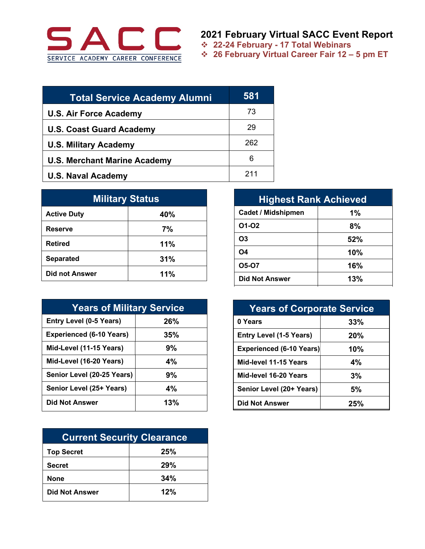

**2021 February Virtual SACC Event Report**

! **22-24 February - 17 Total Webinars**

! **26 February Virtual Career Fair 12 – 5 pm ET**

| <b>Total Service Academy Alumni</b> | 581 |
|-------------------------------------|-----|
| <b>U.S. Air Force Academy</b>       | 73  |
| <b>U.S. Coast Guard Academy</b>     | 29  |
| <b>U.S. Military Academy</b>        | 262 |
| <b>U.S. Merchant Marine Academy</b> | 6   |
| <b>U.S. Naval Academy</b>           | 211 |

| <b>Military Status</b> |     |  |
|------------------------|-----|--|
| <b>Active Duty</b>     | 40% |  |
| <b>Reserve</b>         | 7%  |  |
| <b>Retired</b>         | 11% |  |
| <b>Separated</b>       | 31% |  |
| <b>Did not Answer</b>  | 11% |  |

| <b>Years of Military Service</b> |     |  |
|----------------------------------|-----|--|
| <b>Entry Level (0-5 Years)</b>   | 26% |  |
| <b>Experienced (6-10 Years)</b>  | 35% |  |
| Mid-Level (11-15 Years)          | 9%  |  |
| Mid-Level (16-20 Years)          | 4%  |  |
| Senior Level (20-25 Years)       | 9%  |  |
| Senior Level (25+ Years)         | 4%  |  |
| <b>Did Not Answer</b>            | 13% |  |

| <b>Current Security Clearance</b> |     |  |
|-----------------------------------|-----|--|
| <b>Top Secret</b>                 | 25% |  |
| <b>Secret</b>                     | 29% |  |
| <b>None</b>                       | 34% |  |
| <b>Did Not Answer</b>             | 12% |  |

| <b>Highest Rank Achieved</b> |     |  |
|------------------------------|-----|--|
| <b>Cadet / Midshipmen</b>    | 1%  |  |
| 01-02                        | 8%  |  |
| O <sub>3</sub>               | 52% |  |
| <b>O4</b>                    | 10% |  |
| O5-O7                        | 16% |  |
| <b>Did Not Answer</b>        | 13% |  |

| <b>Years of Corporate Service</b> |     |  |
|-----------------------------------|-----|--|
| 0 Years                           | 33% |  |
| <b>Entry Level (1-5 Years)</b>    | 20% |  |
| <b>Experienced (6-10 Years)</b>   | 10% |  |
| Mid-level 11-15 Years             | 4%  |  |
| Mid-level 16-20 Years             | 3%  |  |
| Senior Level (20+ Years)          | 5%  |  |
| <b>Did Not Answer</b>             | 25% |  |